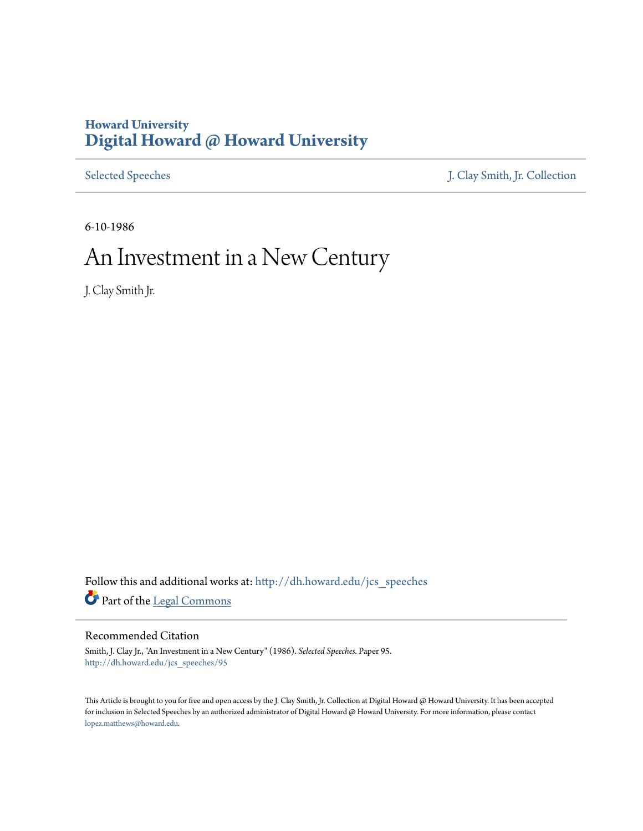# **Howard University [Digital Howard @ Howard University](http://dh.howard.edu?utm_source=dh.howard.edu%2Fjcs_speeches%2F95&utm_medium=PDF&utm_campaign=PDFCoverPages)**

[Selected Speeches](http://dh.howard.edu/jcs_speeches?utm_source=dh.howard.edu%2Fjcs_speeches%2F95&utm_medium=PDF&utm_campaign=PDFCoverPages) [J. Clay Smith, Jr. Collection](http://dh.howard.edu/jcsmith?utm_source=dh.howard.edu%2Fjcs_speeches%2F95&utm_medium=PDF&utm_campaign=PDFCoverPages)

6-10-1986

# An Investment in a New Century

J. Clay Smith Jr.

Follow this and additional works at: [http://dh.howard.edu/jcs\\_speeches](http://dh.howard.edu/jcs_speeches?utm_source=dh.howard.edu%2Fjcs_speeches%2F95&utm_medium=PDF&utm_campaign=PDFCoverPages) Part of the [Legal Commons](http://network.bepress.com/hgg/discipline/502?utm_source=dh.howard.edu%2Fjcs_speeches%2F95&utm_medium=PDF&utm_campaign=PDFCoverPages)

# Recommended Citation

Smith, J. Clay Jr., "An Investment in a New Century" (1986). *Selected Speeches.* Paper 95. [http://dh.howard.edu/jcs\\_speeches/95](http://dh.howard.edu/jcs_speeches/95?utm_source=dh.howard.edu%2Fjcs_speeches%2F95&utm_medium=PDF&utm_campaign=PDFCoverPages)

This Article is brought to you for free and open access by the J. Clay Smith, Jr. Collection at Digital Howard @ Howard University. It has been accepted for inclusion in Selected Speeches by an authorized administrator of Digital Howard @ Howard University. For more information, please contact [lopez.matthews@howard.edu.](mailto:lopez.matthews@howard.edu)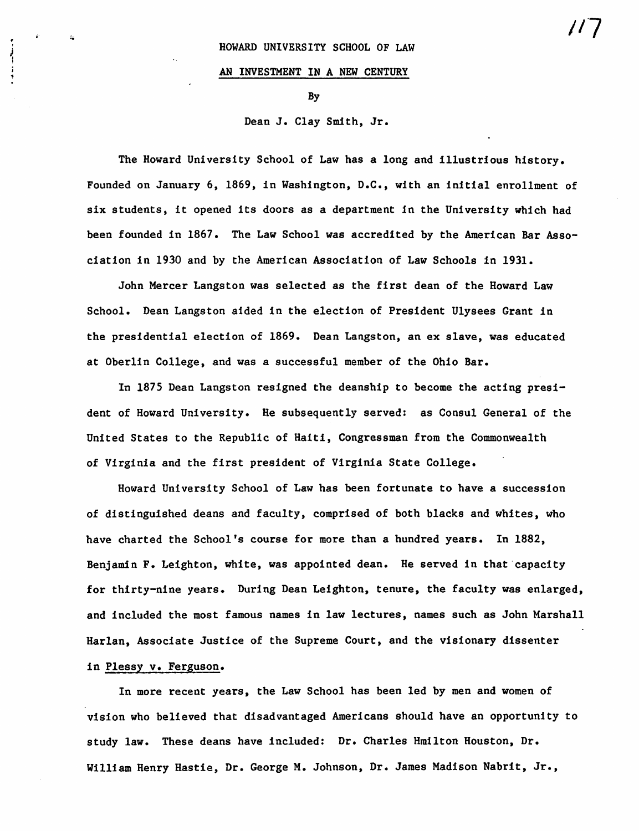#### AN INVESTMENT IN A NEW CENTURY

By

### Dean J. Clay Smith, Jr.

The Howard University School of Law has a long and illustrious history. Founded on January 6, 1869, in Washington, D.C., with an initial enrollment of six students, it opened its doors as a department in the University which had been founded in 1867. The Law School was accredited by the American Bar Association in 1930 and by the American Association of Law Schools in 1931.

John Mercer Langston was selected as the first dean of the Howard Law School. Dean Langston aided in the election of President Ulysees Grant in the presidential election of 1869. Dean Langston, an ex slave, was educated at Oberlin College, and was a successful member of the Ohio Bar.

In 1875 Dean Langston resigned the deanship to become the acting president of Howard University. He subsequently served: as Consul General of the United States to the Republic of Haiti, Congressman from the Commonwealth of Virginia and the first president of Virginia State College.

Howard University School of Law has been fortunate to have a succession of distinguished deans and faculty, comprised of both blacks and whites, who have charted the School's course for more than a hundred years. In 1882, Benjamin F. Leighton, white, was appointed dean. He served in that'capacity for thirty-nine years. During Dean Leighton, tenure, the faculty was enlarged, and included the most famous names in law lectures, names such as John Marshall Harlan, Associate Justice of the Supreme Court, and the visionary dissenter

## in Plessy v. Ferguson.

In more recent years, the Law School has been led by men and women of vision who believed that disadvantaged Americans should have an opportunity to study law. These deans have included: Dr. Charles Hmilton Houston, Dr. William Henry Hastie, Dr. George M. Johnson, Dr. James Madison Nabrit, Jr.,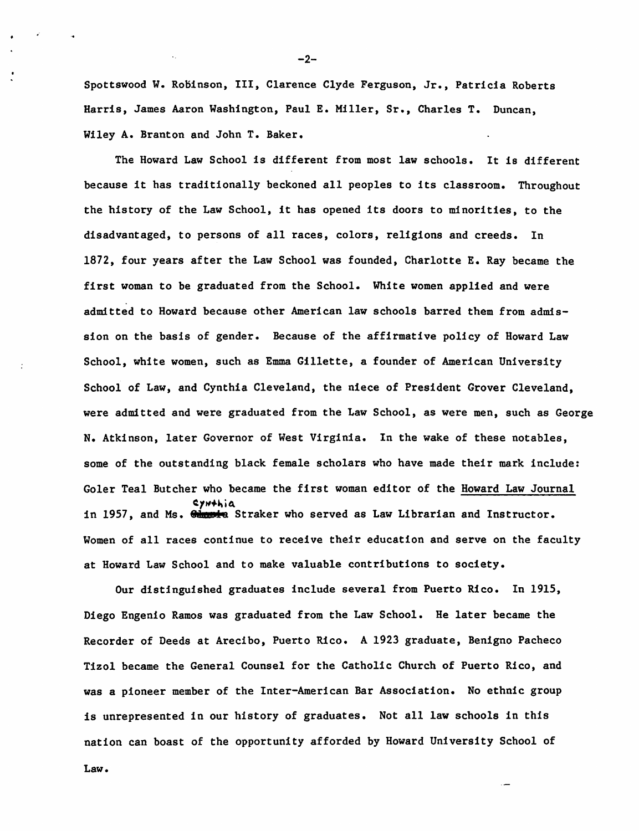Spottswood W. Robinson, III, Clarence Clyde Ferguson, Jr., Patricia Roberts Harris, James Aaron Washington, Paul E. Miller, Sr., Charles T. Duncan, Wiley A. Branton and John T. Baker.

The Howard Law School is different from most law schools. It is different because it has traditionally beckoned all peoples to its classroom. Throughout the history of the Law School, it has opened its doors to minorities, to the disadvantaged, to persons of all races, colors, religions and creeds. In 1872, four years after the Law School was founded, Charlotte E. Ray became the first woman to be graduated from the School. White women applied and were admitted to Howard because other American law schools barred them from admission on the basis of gender. Because of the affirmative policy of Howard Law School, white women, such as Emma Gillette, a founder of American University School of Law, and Cynthia Cleveland, the niece of President Grover Cleveland, were admitted and were graduated from the Law School, as were men, such as George N. Atkinson, later Governor of West Virginia. In the wake of these notables, some of the outstanding black female scholars who have made their mark include: Goler Teal Butcher who became the first woman editor of the Howard Law Journal ~1~·~·~ in 1957, and Ms. 8' **is** Straker who served as Law Librarian and Instructor. Women of all races continue to receive their education and serve on the faculty at Howard Law School and to make valuable contributions to society.

Our distinguished graduates include several from Puerto Rico. In 1915, Diego Engenio Ramos was graduated from the Law School. He later became the Recorder of Deeds at Arecibo, Puerto Rico. A 1923 graduate, Benigno Pacheco Tizol became the General Counsel for the Catholic Church of Puerto Rico, and was a pioneer member of the Inter-American Bar Association. No ethnic group is unrepresented in our history of graduates. Not all law schools in this nation can boast of the opportunity afforded by Howard University School of

Law.

-2-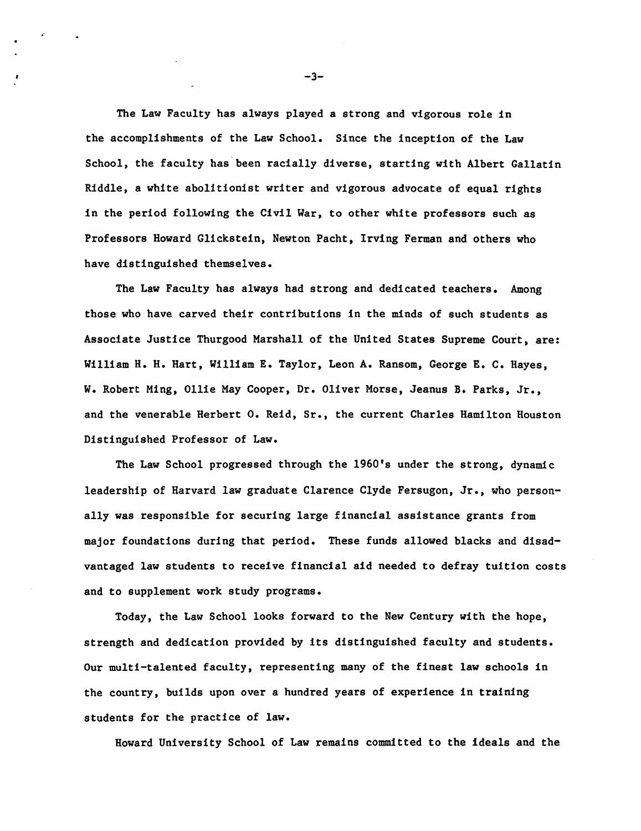The Law Faculty has always played a strong and vigorous role in the accomplishments of the Law School. Since the inception of the Law School, the faculty has'been racially diverse, starting with Albert Gallatin Riddle, a white abolitionist writer and vigorous advocate of equal rights in the period following the Civil War, to other white professors such as Professors Howard Glickstein, Newton Pacht, Irving Ferman and others who have distinguished themselves.

The Law Faculty has always had strong and dedicated teachers. Among those who have carved their contributions in the minds of such students as Associate Justice Thurgood Marshall of the United States Supreme Court, are: William H. H. Hart, William E. Taylor, Leon A. Ransom, George E. C. Hayes, W. Robert Ming, Ollie May Cooper, Dr. Oliver Morse, Jeanus B. Parks, Jr., and the venerable Herbert O. Reid, Sr., the current Charles Hamilton Houston Distinguished Professor of Law.

The Law School progressed through the 1960's under the strong, dynamic leadership of Harvard law graduate Clarence Clyde Fersugon, Jr., who personally was responsible for securing large financial assistance grants from major foundations during that period. These funds allowed blacks and disadvantaged law students to receive financial aid needed to defray tuition costs and to supplement work study programs.

Today, the Law School looks forward to the New Century with the hope, strength and dedication provided by its distinguished faculty and students. Our multi-talented faculty, representing many of the finest law schools in the country, builds upon over a hundred years of experience in training students for the practice of law.

Howard University School of Law remains commdtted to the ideals and the

 $-3-$